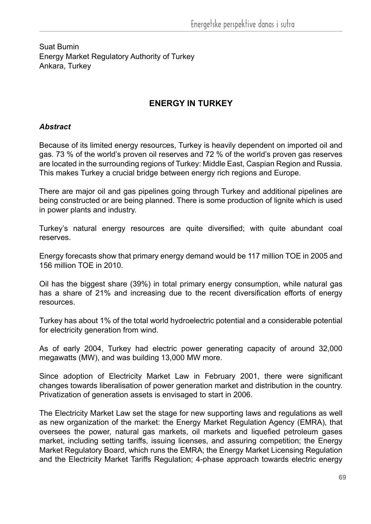Energy Market Regulatory Authority of Turkey Suat Bumin Ankara, Turkey

## **ENERGY IN TURKEY**

### *Abstract*

Because of its limited energy resources, Turkey is heavily dependent on imported oil and gas. 73 % of the world's proven oil reserves and 72 % of the world's proven gas reserves are located in the surrounding regions of Turkey: Middle East, Caspian Region and Russia. This makes Turkey a crucial bridge between energy rich regions and Europe.

There are major oil and gas pipelines going through Turkey and additional pipelines are being constructed or are being planned. There is some production of lignite which is used in power plants and industry.

Turkey's natural energy resources are quite diversified; with quite abundant coal reserves.

Energy forecasts show that primary energy demand would be 117 million TOE in 2005 and 156 million TOE in 2010.

Oil has the biggest share (39%) in total primary energy consumption, while natural gas has a share of 21% and increasing due to the recent diversification efforts of energy resources.

Turkey has about 1% of the total world hydroelectric potential and a considerable potential for electricity generation from wind.

As of early 2004, Turkey had electric power generating capacity of around 32,000 megawatts (MW), and was building 13,000 MW more.

Since adoption of Electricity Market Law in February 2001, there were significant changes towards liberalisation of power generation market and distribution in the country. Privatization of generation assets is envisaged to start in 2006.

The Electricity Market Law set the stage for new supporting laws and regulations as well as new organization of the market: the Energy Market Regulation Agency (EMRA), that oversees the power, natural gas markets, oil markets and liquefied petroleum gases market, including setting tariffs, issuing licenses, and assuring competition; the Energy Market Regulatory Board, which runs the EMRA; the Energy Market Licensing Regulation and the Electricity Market Tariffs Regulation; 4-phase approach towards electric energy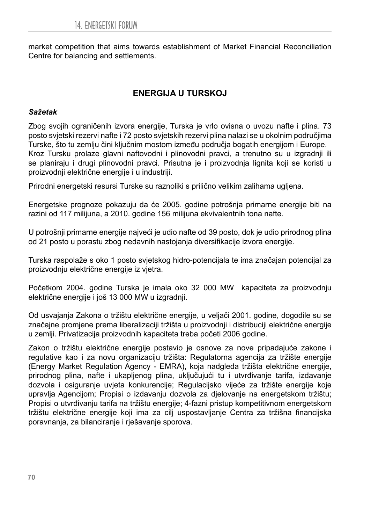market competition that aims towards establishment of Market Financial Reconciliation Centre for balancing and settlements.

# **ENERGIJA U TURSKOJ**

#### *Sažetak*

Zbog svojih ograničenih izvora energije, Turska je vrlo ovisna o uvozu nafte i plina. 73 posto svjetski rezervi nafte i 72 posto svjetskih rezervi plina nalazi se u okolnim područjima Turske, što tu zemlju čini ključnim mostom između područja bogatih energijom i Europe. Kroz Tursku prolaze glavni naftovodni i plinovodni pravci, a trenutno su u izgradnji ili se planiraju i drugi plinovodni pravci. Prisutna je i proizvodnja lignita koji se koristi u proizvodnji električne energije i u industriji.

Prirodni energetski resursi Turske su raznoliki s prilično velikim zalihama ugljena.

Energetske prognoze pokazuju da će 2005. godine potrošnja primarne energije biti na razini od 117 milijuna, a 2010. godine 156 milijuna ekvivalentnih tona nafte.

U potrošnji primarne energije najveći je udio nafte od 39 posto, dok je udio prirodnog plina od 21 posto u porastu zbog nedavnih nastojanja diversifikacije izvora energije.

Turska raspolaže s oko 1 posto svjetskog hidro-potencijala te ima značajan potencijal za proizvodnju električne energije iz vjetra.

Početkom 2004. godine Turska je imala oko 32 000 MW kapaciteta za proizvodnju električne energije i još 13 000 MW u izgradnji.

Od usvajanja Zakona o tržištu električne energije, u veljači 2001. godine, dogodile su se značajne promjene prema liberalizaciji tržišta u proizvodnji i distribuciji električne energije u zemlji. Privatizacija proizvodnih kapaciteta treba početi 2006 godine.

Zakon o tržištu električne energije postavio je osnove za nove pripadajuće zakone i regulative kao i za novu organizaciju tržišta: Regulatorna agencija za tržište energije (Energy Market Regulation Agency - EMRA), koja nadgleda tržišta električne energije, prirodnog plina, nafte i ukapljenog plina, uključujući tu i utvrđivanje tarifa, izdavanje dozvola i osiguranje uvjeta konkurencije; Regulacijsko vijeće za tržište energije koje upravlja Agencijom; Propisi o izdavanju dozvola za djelovanje na energetskom tržištu; Propisi o utvrđivanju tarifa na tržištu energije; 4-fazni pristup kompetitivnom energetskom tržištu električne energije koji ima za cilj uspostavljanje Centra za tržišna financijska poravnanja, za bilanciranje i rješavanje sporova.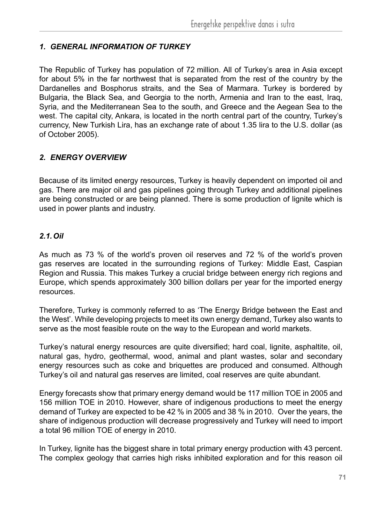### *1. GENERAL INFORMATION OF TURKEY*

The Republic of Turkey has population of 72 million. All of Turkey's area in Asia except for about 5% in the far northwest that is separated from the rest of the country by the Dardanelles and Bosphorus straits, and the Sea of Marmara. Turkey is bordered by Bulgaria, the Black Sea, and Georgia to the north, Armenia and Iran to the east, Iraq, Syria, and the Mediterranean Sea to the south, and Greece and the Aegean Sea to the west. The capital city, Ankara, is located in the north central part of the country, Turkey's currency, New Turkish Lira, has an exchange rate of about 1.35 lira to the U.S. dollar (as of October 2005).

### *2. ENERGY OVERVIEW*

Because of its limited energy resources, Turkey is heavily dependent on imported oil and gas. There are major oil and gas pipelines going through Turkey and additional pipelines are being constructed or are being planned. There is some production of lignite which is used in power plants and industry.

### *2.1. Oil*

As much as 73 % of the world's proven oil reserves and 72 % of the world's proven gas reserves are located in the surrounding regions of Turkey: Middle East, Caspian Region and Russia. This makes Turkey a crucial bridge between energy rich regions and Europe, which spends approximately 300 billion dollars per year for the imported energy resources.

Therefore, Turkey is commonly referred to as 'The Energy Bridge between the East and the West'. While developing projects to meet its own energy demand, Turkey also wants to serve as the most feasible route on the way to the European and world markets.

Turkey's natural energy resources are quite diversified; hard coal, lignite, asphaltite, oil, natural gas, hydro, geothermal, wood, animal and plant wastes, solar and secondary energy resources such as coke and briquettes are produced and consumed. Although Turkey's oil and natural gas reserves are limited, coal reserves are quite abundant.

Energy forecasts show that primary energy demand would be 117 million TOE in 2005 and 156 million TOE in 2010. However, share of indigenous productions to meet the energy demand of Turkey are expected to be 42 % in 2005 and 38 % in 2010. Over the years, the share of indigenous production will decrease progressively and Turkey will need to import a total 96 million TOE of energy in 2010.

In Turkey, lignite has the biggest share in total primary energy production with 43 percent. The complex geology that carries high risks inhibited exploration and for this reason oil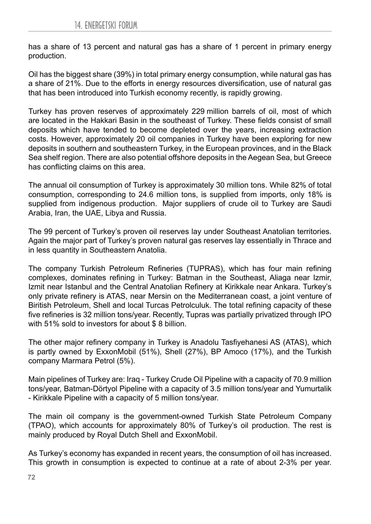has a share of 13 percent and natural gas has a share of 1 percent in primary energy production.

Oil has the biggest share (39%) in total primary energy consumption, while natural gas has a share of 21%. Due to the efforts in energy resources diversification, use of natural gas that has been introduced into Turkish economy recently, is rapidly growing.

Turkey has proven reserves of approximately 229 million barrels of oil, most of which are located in the Hakkari Basin in the southeast of Turkey. These fields consist of small deposits which have tended to become depleted over the years, increasing extraction costs. However, approximately 20 oil companies in Turkey have been exploring for new deposits in southern and southeastern Turkey, in the European provinces, and in the Black Sea shelf region. There are also potential offshore deposits in the Aegean Sea, but Greece has conflicting claims on this area.

The annual oil consumption of Turkey is approximately 30 million tons. While 82% of total consumption, corresponding to 24.6 million tons, is supplied from imports, only 18% is supplied from indigenous production. Major suppliers of crude oil to Turkey are Saudi Arabia, Iran, the UAE, Libya and Russia.

The 99 percent of Turkey's proven oil reserves lay under Southeast Anatolian territories. Again the major part of Turkey's proven natural gas reserves lay essentially in Thrace and in less quantity in Southeastern Anatolia.

The company Turkish Petroleum Refineries (TUPRAS), which has four main refining complexes, dominates refining in Turkey: Batman in the Southeast, Aliaga near Izmir, Izmit near Istanbul and the Central Anatolian Refinery at Kirikkale near Ankara. Turkey's only private refinery is ATAS, near Mersin on the Mediterranean coast, a joint venture of Biritish Petroleum, Shell and local Turcas Petrolculuk. The total refining capacity of these five refineries is 32 million tons/year. Recently, Tupras was partially privatized through IPO with 51% sold to investors for about \$ 8 billion.

The other major refinery company in Turkey is Anadolu Tasfiyehanesi AS (ATAS), which is partly owned by ExxonMobil (51%), Shell (27%), BP Amoco (17%), and the Turkish company Marmara Petrol (5%).

Main pipelines of Turkey are: Iraq - Turkey Crude Oil Pipeline with a capacity of 70.9 million tons/year, Batman-Dörtyol Pipeline with a capacity of 3.5 million tons/year and Yumurtalik - Kirikkale Pipeline with a capacity of 5 million tons/year.

The main oil company is the government-owned Turkish State Petroleum Company (TPAO), which accounts for approximately 80% of Turkey's oil production. The rest is mainly produced by Royal Dutch Shell and ExxonMobil.

As Turkey's economy has expanded in recent years, the consumption of oil has increased. This growth in consumption is expected to continue at a rate of about 2-3% per year.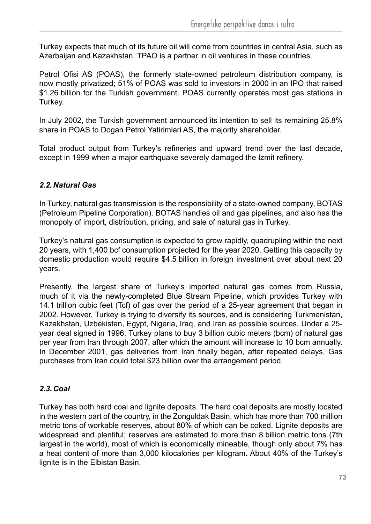Turkey expects that much of its future oil will come from countries in central Asia, such as Azerbaijan and Kazakhstan. TPAO is a partner in oil ventures in these countries.

Petrol Ofisi AS (POAS), the formerly state-owned petroleum distribution company, is now mostly privatized; 51% of POAS was sold to investors in 2000 in an IPO that raised \$1.26 billion for the Turkish government. POAS currently operates most gas stations in Turkey.

In July 2002, the Turkish government announced its intention to sell its remaining 25.8% share in POAS to Dogan Petrol Yatirimlari AS, the majority shareholder.

Total product output from Turkey's refineries and upward trend over the last decade, except in 1999 when a major earthquake severely damaged the Izmit refinery.

### *2.2. Natural Gas*

In Turkey, natural gas transmission is the responsibility of a state-owned company, BOTAS (Petroleum Pipeline Corporation). BOTAS handles oil and gas pipelines, and also has the monopoly of import, distribution, pricing, and sale of natural gas in Turkey.

Turkey's natural gas consumption is expected to grow rapidly, quadrupling within the next 20 years, with 1,400 bcf consumption projected for the year 2020. Getting this capacity by domestic production would require \$4.5 billion in foreign investment over about next 20 years.

Presently, the largest share of Turkey's imported natural gas comes from Russia, much of it via the newly-completed Blue Stream Pipeline, which provides Turkey with 14.1 trillion cubic feet (Tcf) of gas over the period of a 25-year agreement that began in 2002. However, Turkey is trying to diversify its sources, and is considering Turkmenistan, Kazakhstan, Uzbekistan, Egypt, Nigeria, Iraq, and Iran as possible sources. Under a 25 year deal signed in 1996, Turkey plans to buy 3 billion cubic meters (bcm) of natural gas per year from Iran through 2007, after which the amount will increase to 10 bcm annually. In December 2001, gas deliveries from Iran finally began, after repeated delays. Gas purchases from Iran could total \$23 billion over the arrangement period.

### *2.3. Coal*

Turkey has both hard coal and lignite deposits. The hard coal deposits are mostly located in the western part of the country, in the Zonguldak Basin, which has more than 700 million metric tons of workable reserves, about 80% of which can be coked. Lignite deposits are widespread and plentiful; reserves are estimated to more than 8 billion metric tons (7th largest in the world), most of which is economically mineable, though only about 7% has a heat content of more than 3,000 kilocalories per kilogram. About 40% of the Turkey's lignite is in the Elbistan Basin.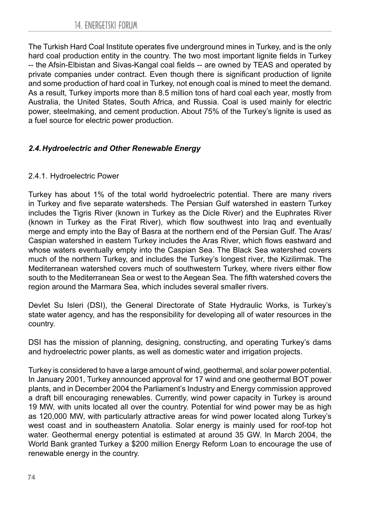The Turkish Hard Coal Institute operates five underground mines in Turkey, and is the only hard coal production entity in the country. The two most important lignite fields in Turkey -- the Afsin-Elbistan and Sivas-Kangal coal fields -- are owned by TEAS and operated by private companies under contract. Even though there is significant production of lignite and some production of hard coal in Turkey, not enough coal is mined to meet the demand. As a result, Turkey imports more than 8.5 million tons of hard coal each year, mostly from Australia, the United States, South Africa, and Russia. Coal is used mainly for electric power, steelmaking, and cement production. About 75% of the Turkey's lignite is used as a fuel source for electric power production.

### *2.4. Hydroelectric and Other Renewable Energy*

### 2.4.1. Hydroelectric Power

Turkey has about 1% of the total world hydroelectric potential. There are many rivers in Turkey and five separate watersheds. The Persian Gulf watershed in eastern Turkey includes the Tigris River (known in Turkey as the Dicle River) and the Euphrates River (known in Turkey as the Firat River), which flow southwest into Iraq and eventually merge and empty into the Bay of Basra at the northern end of the Persian Gulf. The Aras/ Caspian watershed in eastern Turkey includes the Aras River, which flows eastward and whose waters eventually empty into the Caspian Sea. The Black Sea watershed covers much of the northern Turkey, and includes the Turkey's longest river, the Kizilirmak. The Mediterranean watershed covers much of southwestern Turkey, where rivers either flow south to the Mediterranean Sea or west to the Aegean Sea. The fifth watershed covers the region around the Marmara Sea, which includes several smaller rivers.

Devlet Su Isleri (DSI), the General Directorate of State Hydraulic Works, is Turkey's state water agency, and has the responsibility for developing all of water resources in the country.

DSI has the mission of planning, designing, constructing, and operating Turkey's dams and hydroelectric power plants, as well as domestic water and irrigation projects.

Turkey is considered to have a large amount of wind, geothermal, and solar power potential. In January 2001, Turkey announced approval for 17 wind and one geothermal BOT power plants, and in December 2004 the Parliament's Industry and Energy commission approved a draft bill encouraging renewables. Currently, wind power capacity in Turkey is around 19 MW, with units located all over the country. Potential for wind power may be as high as 120,000 MW, with particularly attractive areas for wind power located along Turkey's west coast and in southeastern Anatolia. Solar energy is mainly used for roof-top hot water. Geothermal energy potential is estimated at around 35 GW. In March 2004, the World Bank granted Turkey a \$200 million Energy Reform Loan to encourage the use of renewable energy in the country.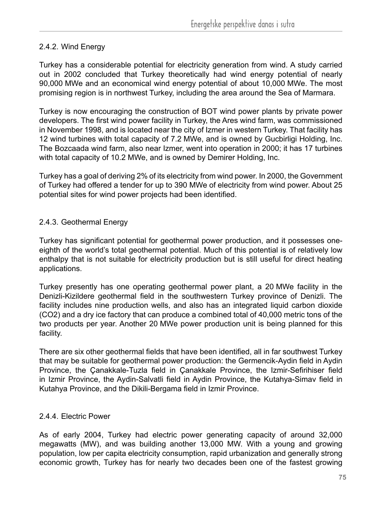### 2.4.2. Wind Energy

Turkey has a considerable potential for electricity generation from wind. A study carried out in 2002 concluded that Turkey theoretically had wind energy potential of nearly 90,000 MWe and an economical wind energy potential of about 10,000 MWe. The most promising region is in northwest Turkey, including the area around the Sea of Marmara.

Turkey is now encouraging the construction of BOT wind power plants by private power developers. The first wind power facility in Turkey, the Ares wind farm, was commissioned in November 1998, and is located near the city of Izmer in western Turkey. That facility has 12 wind turbines with total capacity of 7.2 MWe, and is owned by Gucbirligi Holding, Inc. The Bozcaada wind farm, also near Izmer, went into operation in 2000; it has 17 turbines with total capacity of 10.2 MWe, and is owned by Demirer Holding, Inc.

Turkey has a goal of deriving 2% of its electricity from wind power. In 2000, the Government of Turkey had offered a tender for up to 390 MWe of electricity from wind power. About 25 potential sites for wind power projects had been identified.

### 2.4.3. Geothermal Energy

Turkey has significant potential for geothermal power production, and it possesses oneeighth of the world's total geothermal potential. Much of this potential is of relatively low enthalpy that is not suitable for electricity production but is still useful for direct heating applications.

Turkey presently has one operating geothermal power plant, a 20 MWe facility in the Denizli-Kizildere geothermal field in the southwestern Turkey province of Denizli. The facility includes nine production wells, and also has an integrated liquid carbon dioxide (CO2) and a dry ice factory that can produce a combined total of 40,000 metric tons of the two products per year. Another 20 MWe power production unit is being planned for this facility.

There are six other geothermal fields that have been identified, all in far southwest Turkey that may be suitable for geothermal power production: the Germencik-Aydin field in Aydin Province, the Çanakkale-Tuzla field in Çanakkale Province, the Izmir-Sefirihiser field in Izmir Province, the Aydin-Salvatli field in Aydin Province, the Kutahya-Simav field in Kutahya Province, and the Dikili-Bergama field in Izmir Province.

### 2.4.4. Electric Power

As of early 2004, Turkey had electric power generating capacity of around 32,000 megawatts (MW), and was building another 13,000 MW. With a young and growing population, low per capita electricity consumption, rapid urbanization and generally strong economic growth, Turkey has for nearly two decades been one of the fastest growing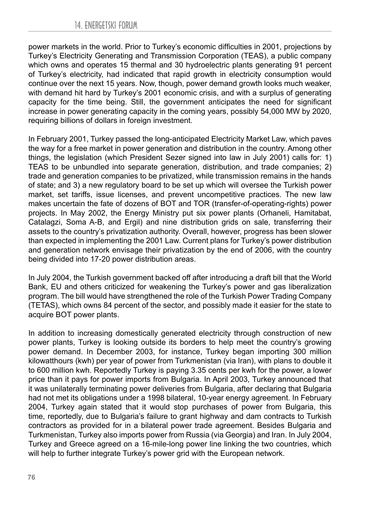power markets in the world. Prior to Turkey's economic difficulties in 2001, projections by Turkey's Electricity Generating and Transmission Corporation (TEAS), a public company which owns and operates 15 thermal and 30 hydroelectric plants generating 91 percent of Turkey's electricity, had indicated that rapid growth in electricity consumption would continue over the next 15 years. Now, though, power demand growth looks much weaker, with demand hit hard by Turkey's 2001 economic crisis, and with a surplus of generating capacity for the time being. Still, the government anticipates the need for significant increase in power generating capacity in the coming years, possibly 54,000 MW by 2020, requiring billions of dollars in foreign investment.

In February 2001, Turkey passed the long-anticipated Electricity Market Law, which paves the way for a free market in power generation and distribution in the country. Among other things, the legislation (which President Sezer signed into law in July 2001) calls for: 1) TEAS to be unbundled into separate generation, distribution, and trade companies; 2) trade and generation companies to be privatized, while transmission remains in the hands of state; and 3) a new regulatory board to be set up which will oversee the Turkish power market, set tariffs, issue licenses, and prevent uncompetitive practices. The new law makes uncertain the fate of dozens of BOT and TOR (transfer-of-operating-rights) power projects. In May 2002, the Energy Ministry put six power plants (Orhaneli, Hamitabat, Catalagzi, Soma A-B, and Ergil) and nine distribution grids on sale, transferring their assets to the country's privatization authority. Overall, however, progress has been slower than expected in implementing the 2001 Law. Current plans for Turkey's power distribution and generation network envisage their privatization by the end of 2006, with the country being divided into 17-20 power distribution areas.

In July 2004, the Turkish government backed off after introducing a draft bill that the World Bank, EU and others criticized for weakening the Turkey's power and gas liberalization program. The bill would have strengthened the role of the Turkish Power Trading Company (TETAS), which owns 84 percent of the sector, and possibly made it easier for the state to acquire BOT power plants.

In addition to increasing domestically generated electricity through construction of new power plants, Turkey is looking outside its borders to help meet the country's growing power demand. In December 2003, for instance, Turkey began importing 300 million kilowatthours (kwh) per year of power from Turkmenistan (via Iran), with plans to double it to 600 million kwh. Reportedly Turkey is paying 3.35 cents per kwh for the power, a lower price than it pays for power imports from Bulgaria. In April 2003, Turkey announced that it was unilaterally terminating power deliveries from Bulgaria, after declaring that Bulgaria had not met its obligations under a 1998 bilateral, 10-year energy agreement. In February 2004, Turkey again stated that it would stop purchases of power from Bulgaria, this time, reportedly, due to Bulgaria's failure to grant highway and dam contracts to Turkish contractors as provided for in a bilateral power trade agreement. Besides Bulgaria and Turkmenistan, Turkey also imports power from Russia (via Georgia) and Iran. In July 2004, Turkey and Greece agreed on a 16-mile-long power line linking the two countries, which will help to further integrate Turkey's power grid with the European network.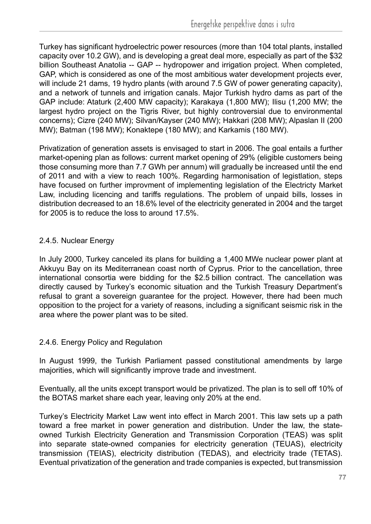Turkey has significant hydroelectric power resources (more than 104 total plants, installed capacity over 10.2 GW), and is developing a great deal more, especially as part of the \$32 billion Southeast Anatolia -- GAP -- hydropower and irrigation project. When completed, GAP, which is considered as one of the most ambitious water development projects ever, will include 21 dams, 19 hydro plants (with around 7.5 GW of power generating capacity), and a network of tunnels and irrigation canals. Major Turkish hydro dams as part of the GAP include: Ataturk (2,400 MW capacity); Karakaya (1,800 MW); Ilisu (1,200 MW; the largest hydro project on the Tigris River, but highly controversial due to environmental concerns); Cizre (240 MW); Silvan/Kayser (240 MW); Hakkari (208 MW); Alpaslan II (200 MW); Batman (198 MW); Konaktepe (180 MW); and Karkamis (180 MW).

Privatization of generation assets is envisaged to start in 2006. The goal entails a further market-opening plan as follows: current market opening of 29% (eligible customers being those consuming more than 7.7 GWh per annum) will gradually be increased until the end of 2011 and with a view to reach 100%. Regarding harmonisation of legistlation, steps have focused on further improvment of implementing legislation of the Electricty Market Law, including licencing and tariffs regulations. The problem of unpaid bills, losses in distribution decreased to an 18.6% level of the electricity generated in 2004 and the target for 2005 is to reduce the loss to around 17.5%.

#### 2.4.5. Nuclear Energy

In July 2000, Turkey canceled its plans for building a 1,400 MWe nuclear power plant at Akkuyu Bay on its Mediterranean coast north of Cyprus. Prior to the cancellation, three international consortia were bidding for the \$2.5 billion contract. The cancellation was directly caused by Turkey's economic situation and the Turkish Treasury Department's refusal to grant a sovereign guarantee for the project. However, there had been much opposition to the project for a variety of reasons, including a significant seismic risk in the area where the power plant was to be sited.

#### 2.4.6. Energy Policy and Regulatıon

In August 1999, the Turkish Parliament passed constitutional amendments by large majorities, which will significantly improve trade and investment.

Eventually, all the units except transport would be privatized. The plan is to sell off 10% of the BOTAS market share each year, leaving only 20% at the end.

Turkey's Electricity Market Law went into effect in March 2001. This law sets up a path toward a free market in power generation and distribution. Under the law, the stateowned Turkish Electricity Generation and Transmission Corporation (TEAS) was split into separate state-owned companies for electricity generation (TEUAS), electricity transmission (TEIAS), electricity distribution (TEDAS), and electricity trade (TETAS). Eventual privatization of the generation and trade companies is expected, but transmission